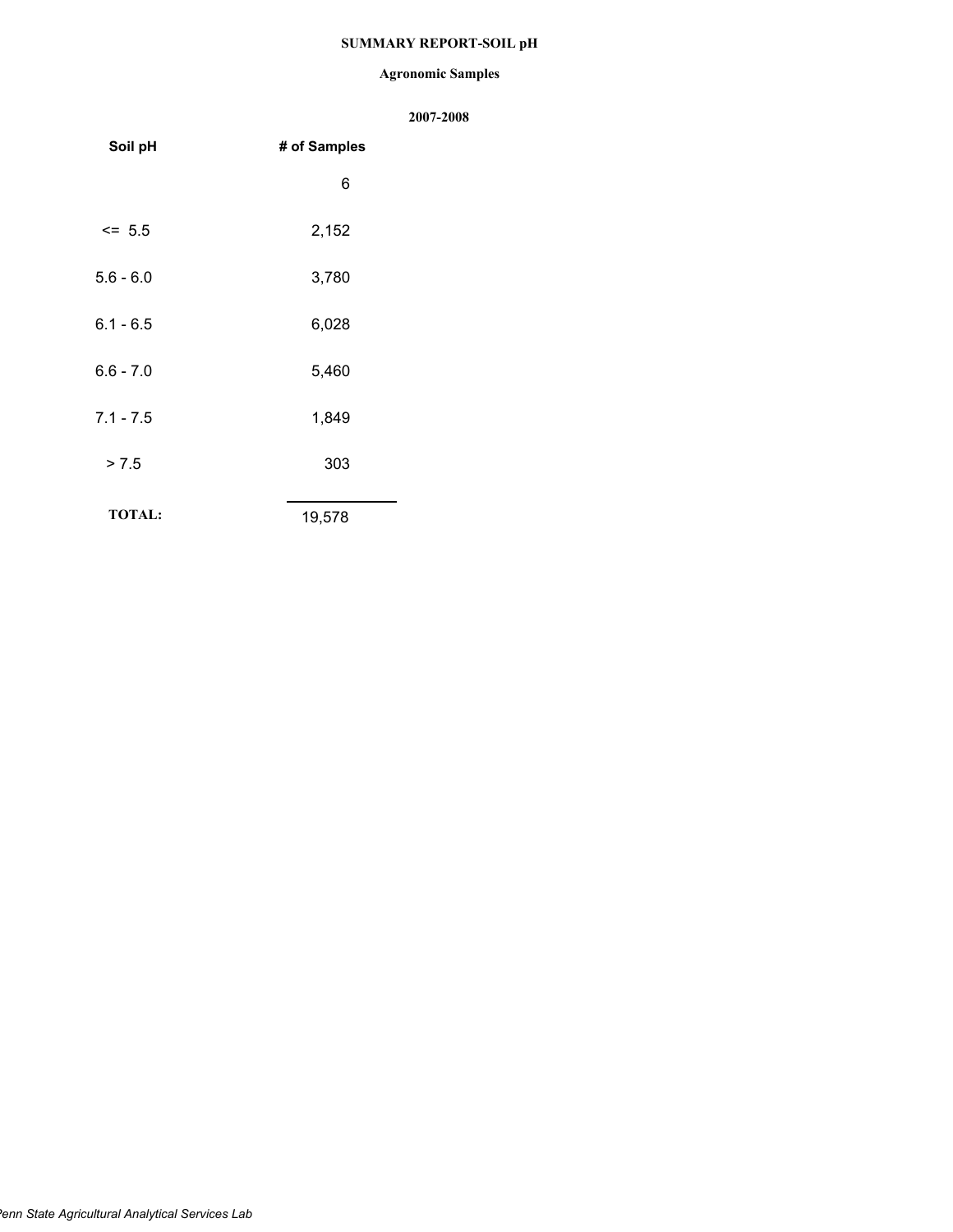# **SUMMARY REPORT-SOIL pH**

#### **Agronomic Samples**

| Soil pH       | # of Samples |  |  |
|---------------|--------------|--|--|
|               | 6            |  |  |
| $\le$ 5.5     | 2,152        |  |  |
| $5.6 - 6.0$   | 3,780        |  |  |
| $6.1 - 6.5$   | 6,028        |  |  |
| $6.6 - 7.0$   | 5,460        |  |  |
| $7.1 - 7.5$   | 1,849        |  |  |
| > 7.5         | 303          |  |  |
| <b>TOTAL:</b> | 19,578       |  |  |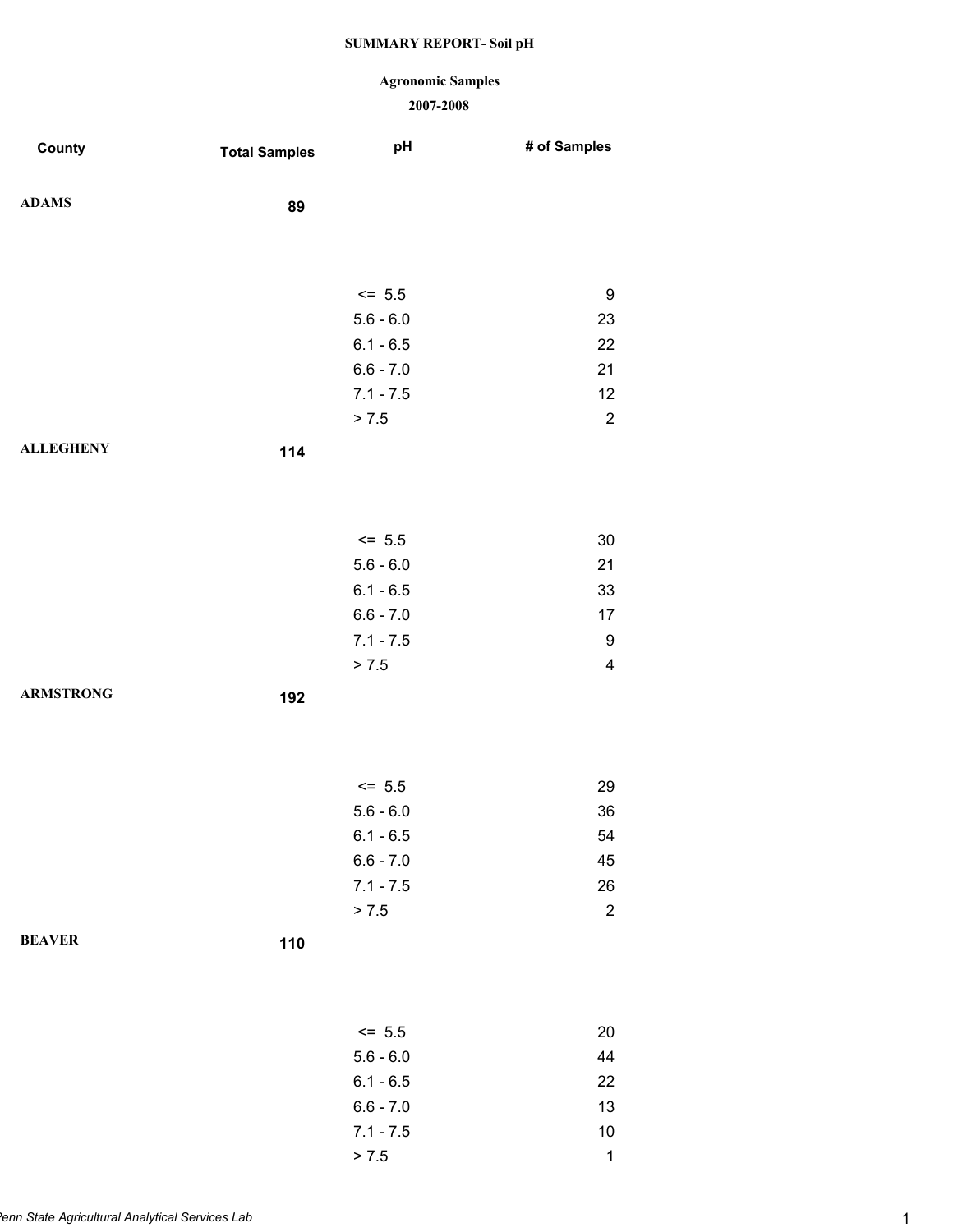### **Agronomic Samples**

| County           | <b>Total Samples</b> | pH          | # of Samples            |
|------------------|----------------------|-------------|-------------------------|
| <b>ADAMS</b>     | 89                   |             |                         |
|                  |                      |             |                         |
|                  |                      |             |                         |
|                  |                      | $<= 5.5$    | 9                       |
|                  |                      | $5.6 - 6.0$ | 23                      |
|                  |                      | $6.1 - 6.5$ | 22                      |
|                  |                      | $6.6 - 7.0$ | 21                      |
|                  |                      | $7.1 - 7.5$ | 12                      |
|                  |                      | > 7.5       | $\sqrt{2}$              |
| <b>ALLEGHENY</b> | 114                  |             |                         |
|                  |                      |             |                         |
|                  |                      |             |                         |
|                  |                      | $<= 5.5$    | $30\,$                  |
|                  |                      | $5.6 - 6.0$ | 21                      |
|                  |                      | $6.1 - 6.5$ | 33                      |
|                  |                      | $6.6 - 7.0$ | 17                      |
|                  |                      | $7.1 - 7.5$ | 9                       |
|                  |                      | > 7.5       | $\overline{\mathbf{4}}$ |
| <b>ARMSTRONG</b> | 192                  |             |                         |
|                  |                      |             |                         |
|                  |                      |             |                         |
|                  |                      | $<= 5.5$    | 29                      |
|                  |                      | $5.6 - 6.0$ | 36                      |
|                  |                      | $6.1 - 6.5$ | 54                      |
|                  |                      | $6.6 - 7.0$ | 45                      |
|                  |                      | $7.1 - 7.5$ | 26                      |
|                  |                      | > 7.5       | $\overline{2}$          |
| <b>BEAVER</b>    | 110                  |             |                         |
|                  |                      |             |                         |
|                  |                      |             |                         |
|                  |                      | $<= 5.5$    | $20\,$                  |
|                  |                      | $5.6 - 6.0$ | 44                      |
|                  |                      | $6.1 - 6.5$ | 22                      |
|                  |                      | $6.6 - 7.0$ | 13                      |
|                  |                      | $7.1 - 7.5$ | $10$                    |
|                  |                      | > 7.5       | $\mathbf{1}$            |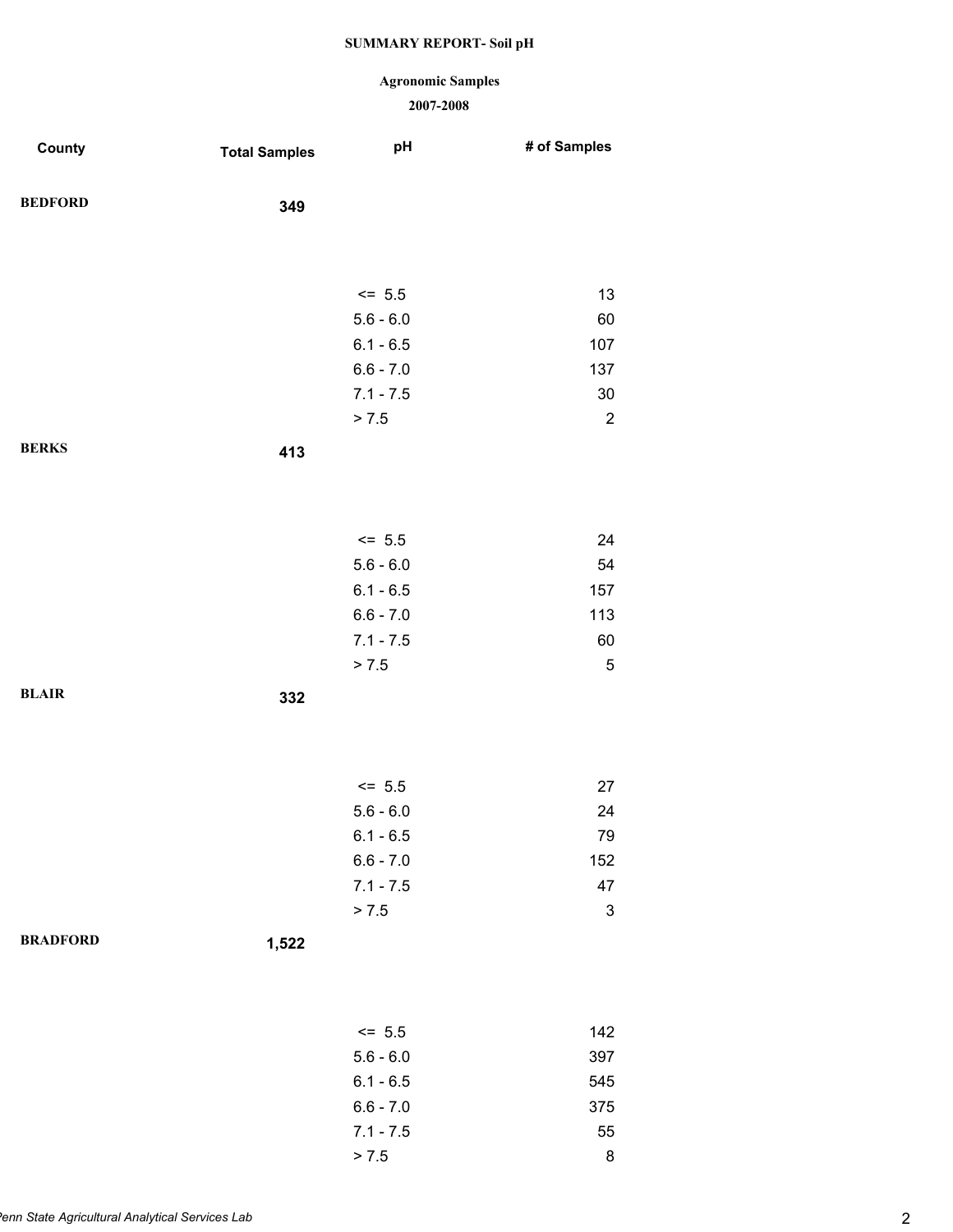### **Agronomic Samples**

| County          | <b>Total Samples</b> | pH          | # of Samples              |
|-----------------|----------------------|-------------|---------------------------|
| <b>BEDFORD</b>  | 349                  |             |                           |
|                 |                      |             |                           |
|                 |                      | $<= 5.5$    | 13                        |
|                 |                      | $5.6 - 6.0$ | 60                        |
|                 |                      | $6.1 - 6.5$ | 107                       |
|                 |                      | $6.6 - 7.0$ | 137                       |
|                 |                      | $7.1 - 7.5$ | 30                        |
|                 |                      | > 7.5       | $\sqrt{2}$                |
| <b>BERKS</b>    | 413                  |             |                           |
|                 |                      |             |                           |
|                 |                      | $<= 5.5$    | 24                        |
|                 |                      | $5.6 - 6.0$ | 54                        |
|                 |                      | $6.1 - 6.5$ | 157                       |
|                 |                      | $6.6 - 7.0$ | 113                       |
|                 |                      | $7.1 - 7.5$ | 60                        |
|                 |                      | > 7.5       | $\mathbf 5$               |
| <b>BLAIR</b>    | 332                  |             |                           |
|                 |                      |             |                           |
|                 |                      |             |                           |
|                 |                      | $<= 5.5$    | 27                        |
|                 |                      | $5.6 - 6.0$ | 24                        |
|                 |                      | $6.1 - 6.5$ | 79                        |
|                 |                      | $6.6 - 7.0$ | 152                       |
|                 |                      | $7.1 - 7.5$ | 47                        |
|                 |                      | > 7.5       | $\ensuremath{\mathsf{3}}$ |
| <b>BRADFORD</b> | 1,522                |             |                           |
|                 |                      |             |                           |
|                 |                      | $<= 5.5$    | 142                       |
|                 |                      | $5.6 - 6.0$ | 397                       |
|                 |                      | $6.1 - 6.5$ | 545                       |
|                 |                      | $6.6 - 7.0$ | 375                       |
|                 |                      | $7.1 - 7.5$ | 55                        |
|                 |                      | > 7.5       | $\bf 8$                   |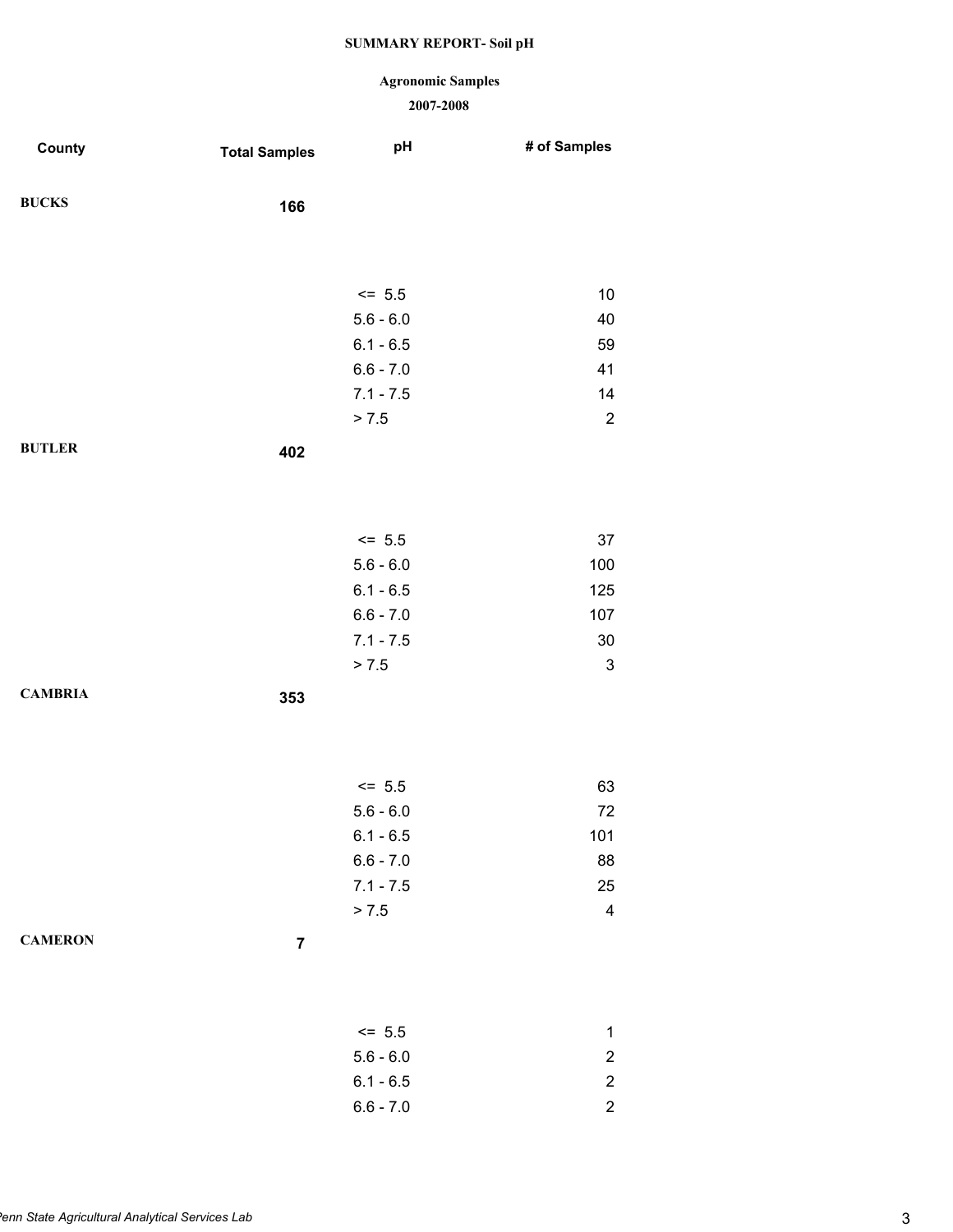### **Agronomic Samples**

| County         | <b>Total Samples</b>    | pH          | # of Samples              |
|----------------|-------------------------|-------------|---------------------------|
| <b>BUCKS</b>   | 166                     |             |                           |
|                |                         |             |                           |
|                |                         |             |                           |
|                |                         | $<= 5.5$    | 10                        |
|                |                         | $5.6 - 6.0$ | 40                        |
|                |                         | $6.1 - 6.5$ | 59                        |
|                |                         | $6.6 - 7.0$ | 41                        |
|                |                         | $7.1 - 7.5$ | 14                        |
|                |                         | > 7.5       | $\overline{2}$            |
| <b>BUTLER</b>  | 402                     |             |                           |
|                |                         |             |                           |
|                |                         |             |                           |
|                |                         | $<= 5.5$    | 37                        |
|                |                         | $5.6 - 6.0$ | 100                       |
|                |                         | $6.1 - 6.5$ | 125                       |
|                |                         | $6.6 - 7.0$ | 107                       |
|                |                         | $7.1 - 7.5$ | $30\,$                    |
|                |                         | > 7.5       | $\ensuremath{\mathsf{3}}$ |
| <b>CAMBRIA</b> | 353                     |             |                           |
|                |                         |             |                           |
|                |                         |             |                           |
|                |                         | $<= 5.5$    | 63                        |
|                |                         | $5.6 - 6.0$ | 72                        |
|                |                         | $6.1 - 6.5$ | 101                       |
|                |                         | $6.6 - 7.0$ | 88                        |
|                |                         | $7.1 - 7.5$ | 25                        |
|                |                         | > 7.5       | $\overline{\mathbf{4}}$   |
| <b>CAMERON</b> | $\overline{\mathbf{7}}$ |             |                           |
|                |                         |             |                           |
|                |                         |             |                           |
|                |                         | $<= 5.5$    | 1                         |
|                |                         | $5.6 - 6.0$ | $\overline{c}$            |
|                |                         | $6.1 - 6.5$ | $\overline{c}$            |
|                |                         | $6.6 - 7.0$ | $\overline{c}$            |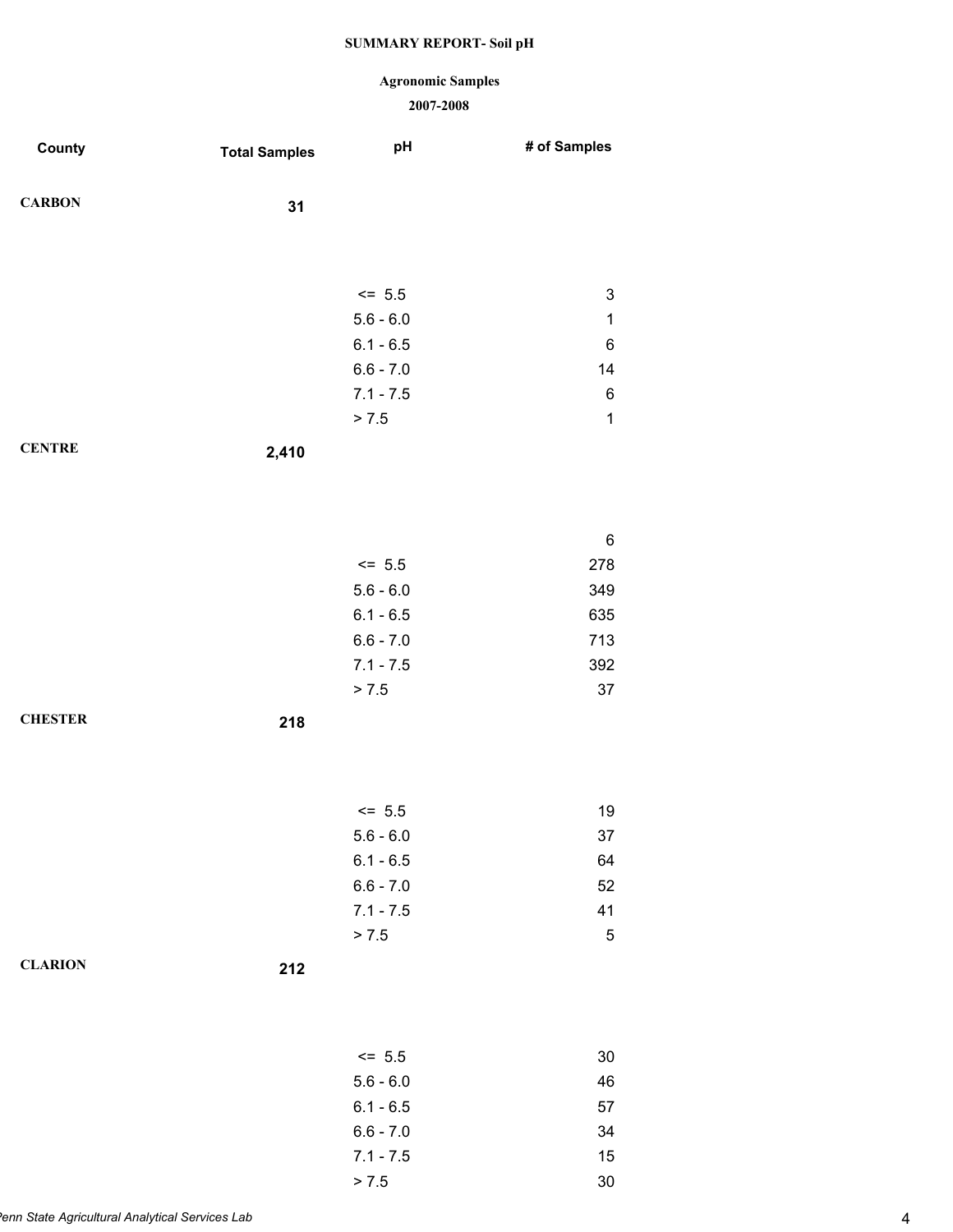### **Agronomic Samples**

| County         | <b>Total Samples</b> | pH          | # of Samples |
|----------------|----------------------|-------------|--------------|
| <b>CARBON</b>  | 31                   |             |              |
|                |                      |             |              |
|                |                      |             |              |
|                |                      | $\le$ 5.5   | $\mathsf 3$  |
|                |                      | $5.6 - 6.0$ | $\mathbf{1}$ |
|                |                      | $6.1 - 6.5$ | 6            |
|                |                      | $6.6 - 7.0$ | 14           |
|                |                      | $7.1 - 7.5$ | 6            |
|                |                      | > 7.5       | $\mathbf{1}$ |
| <b>CENTRE</b>  | 2,410                |             |              |
|                |                      |             |              |
|                |                      |             |              |
|                |                      |             | 6            |
|                |                      | $<= 5.5$    | 278          |
|                |                      | $5.6 - 6.0$ | 349          |
|                |                      | $6.1 - 6.5$ | 635          |
|                |                      | $6.6 - 7.0$ | 713          |
|                |                      | $7.1 - 7.5$ | 392          |
|                |                      | > 7.5       | 37           |
| <b>CHESTER</b> | 218                  |             |              |
|                |                      |             |              |
|                |                      |             |              |
|                |                      | $<= 5.5$    | 19           |
|                |                      | $5.6 - 6.0$ | 37           |
|                |                      | $6.1 - 6.5$ | 64           |
|                |                      | $6.6 - 7.0$ | 52           |
|                |                      | $7.1 - 7.5$ | 41           |
|                |                      | > 7.5       | $\mathbf 5$  |
| <b>CLARION</b> | 212                  |             |              |
|                |                      |             |              |
|                |                      |             |              |
|                |                      | $<= 5.5$    | $30\,$       |
|                |                      | $5.6 - 6.0$ | 46           |
|                |                      | $6.1 - 6.5$ | 57           |
|                |                      | $6.6 - 7.0$ | 34           |
|                |                      | $7.1 - 7.5$ | 15           |
|                |                      | > 7.5       | $30\,$       |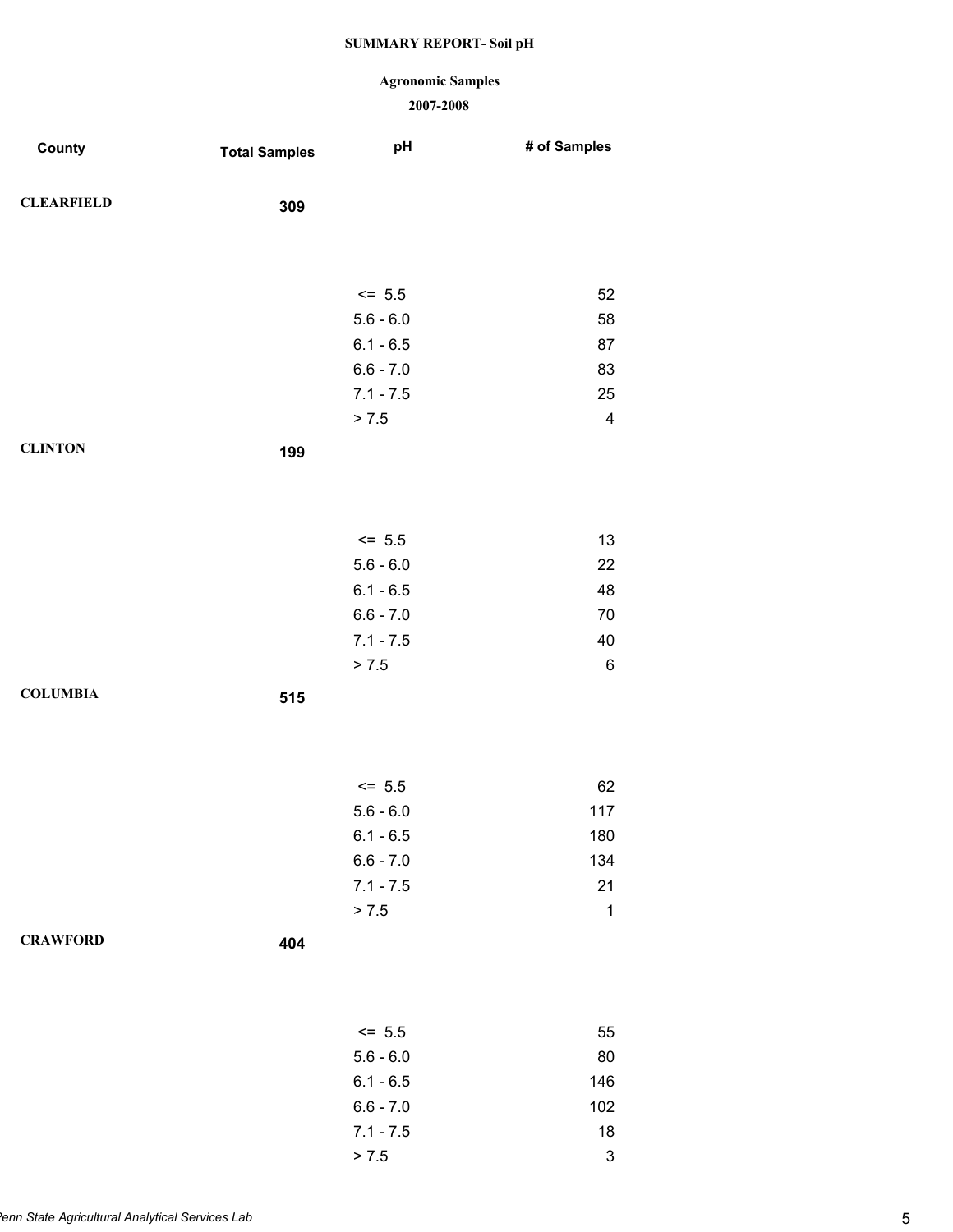### **Agronomic Samples**

| County            | <b>Total Samples</b> | pH                         | # of Samples              |
|-------------------|----------------------|----------------------------|---------------------------|
| <b>CLEARFIELD</b> | 309                  |                            |                           |
|                   |                      |                            |                           |
|                   |                      | $<= 5.5$                   | 52                        |
|                   |                      | $5.6 - 6.0$                | 58                        |
|                   |                      | $6.1 - 6.5$                | 87                        |
|                   |                      | $6.6 - 7.0$                | 83                        |
|                   |                      | $7.1 - 7.5$                | 25                        |
|                   |                      | > 7.5                      | $\overline{\mathbf{4}}$   |
| <b>CLINTON</b>    | 199                  |                            |                           |
|                   |                      |                            |                           |
|                   |                      | $<= 5.5$                   | 13                        |
|                   |                      | $5.6 - 6.0$                | 22                        |
|                   |                      | $6.1 - 6.5$                | 48                        |
|                   |                      | $6.6 - 7.0$                | $70\,$                    |
|                   |                      | $7.1 - 7.5$                | 40                        |
|                   |                      | > 7.5                      | $\,6$                     |
| <b>COLUMBIA</b>   | 515                  |                            |                           |
|                   |                      |                            |                           |
|                   |                      |                            |                           |
|                   |                      | $<= 5.5$                   | 62                        |
|                   |                      | $5.6 - 6.0$                | 117                       |
|                   |                      | $6.1 - 6.5$<br>$6.6 - 7.0$ | 180<br>134                |
|                   |                      | $7.1 - 7.5$                | 21                        |
|                   |                      | > 7.5                      | $\mathbf 1$               |
| <b>CRAWFORD</b>   | 404                  |                            |                           |
|                   |                      |                            |                           |
|                   |                      |                            |                           |
|                   |                      | $<= 5.5$                   | 55                        |
|                   |                      | $5.6 - 6.0$                | 80                        |
|                   |                      | $6.1 - 6.5$                | 146                       |
|                   |                      | $6.6 - 7.0$                | 102                       |
|                   |                      | $7.1 - 7.5$                | 18                        |
|                   |                      | > 7.5                      | $\ensuremath{\mathsf{3}}$ |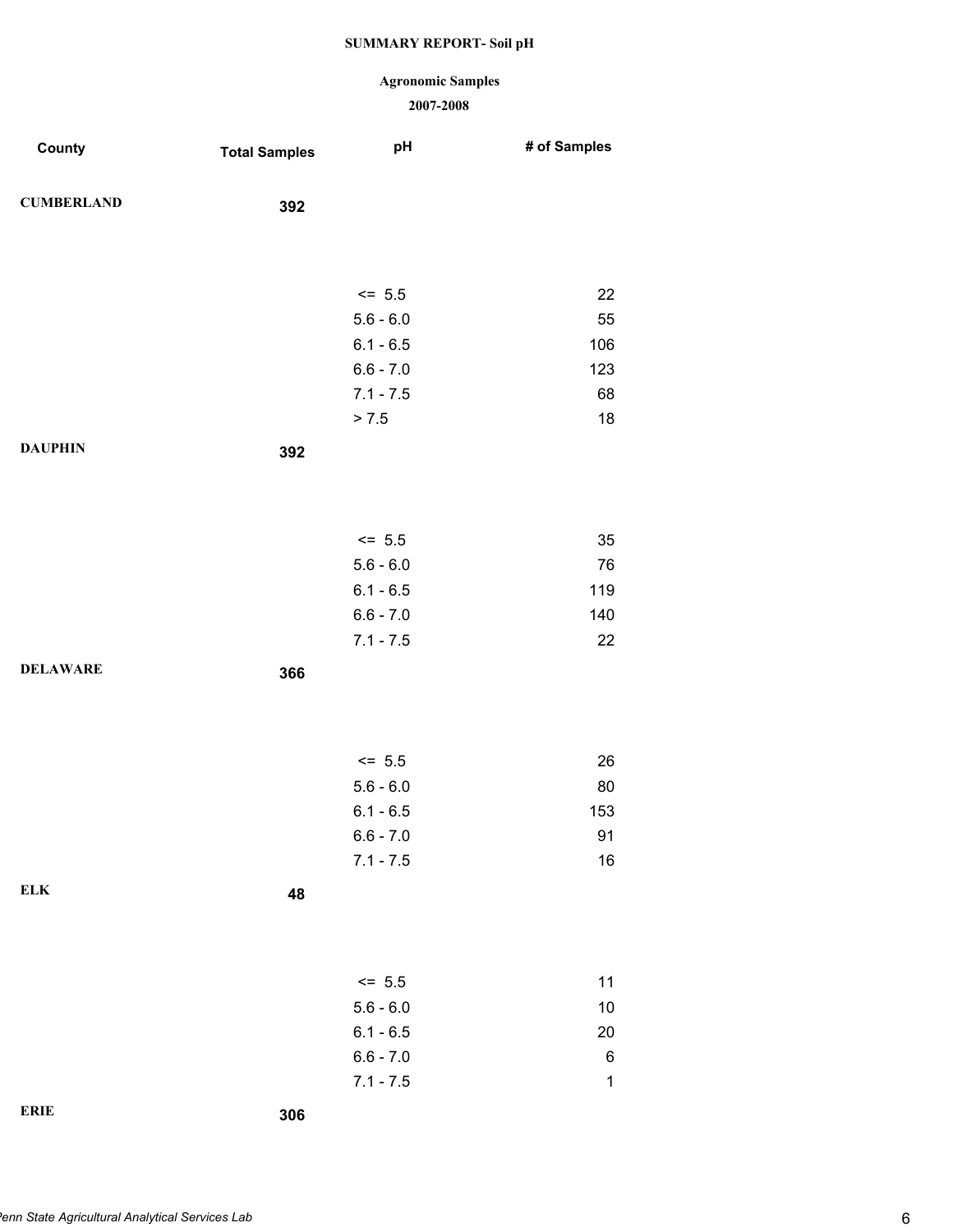### **Agronomic Samples**

| County            | <b>Total Samples</b> | pH          | # of Samples |
|-------------------|----------------------|-------------|--------------|
| <b>CUMBERLAND</b> | 392                  |             |              |
|                   |                      |             |              |
|                   |                      | $\le$ 5.5   | 22           |
|                   |                      | $5.6 - 6.0$ | 55           |
|                   |                      | $6.1 - 6.5$ | 106          |
|                   |                      | $6.6 - 7.0$ | 123          |
|                   |                      | $7.1 - 7.5$ | 68           |
|                   |                      | > 7.5       | 18           |
| <b>DAUPHIN</b>    | 392                  |             |              |
|                   |                      |             |              |
|                   |                      | $<= 5.5$    | 35           |
|                   |                      | $5.6 - 6.0$ | 76           |
|                   |                      | $6.1 - 6.5$ | 119          |
|                   |                      | $6.6 - 7.0$ | 140          |
|                   |                      | $7.1 - 7.5$ | 22           |
| <b>DELAWARE</b>   | 366                  |             |              |
|                   |                      |             |              |
|                   |                      | $<= 5.5$    | 26           |
|                   |                      | $5.6 - 6.0$ | $80\,$       |
|                   |                      | $6.1 - 6.5$ | 153          |
|                   |                      | $6.6 - 7.0$ | 91           |
|                   |                      | $7.1 - 7.5$ | $16$         |
| <b>ELK</b>        | 48                   |             |              |
|                   |                      |             |              |
|                   |                      | $<= 5.5$    | 11           |
|                   |                      | $5.6 - 6.0$ | $10$         |
|                   |                      | $6.1 - 6.5$ | $20\,$       |
|                   |                      | $6.6 - 7.0$ | $\,6$        |
|                   |                      | $7.1 - 7.5$ | $\mathbf{1}$ |
| <b>ERIE</b>       | 306                  |             |              |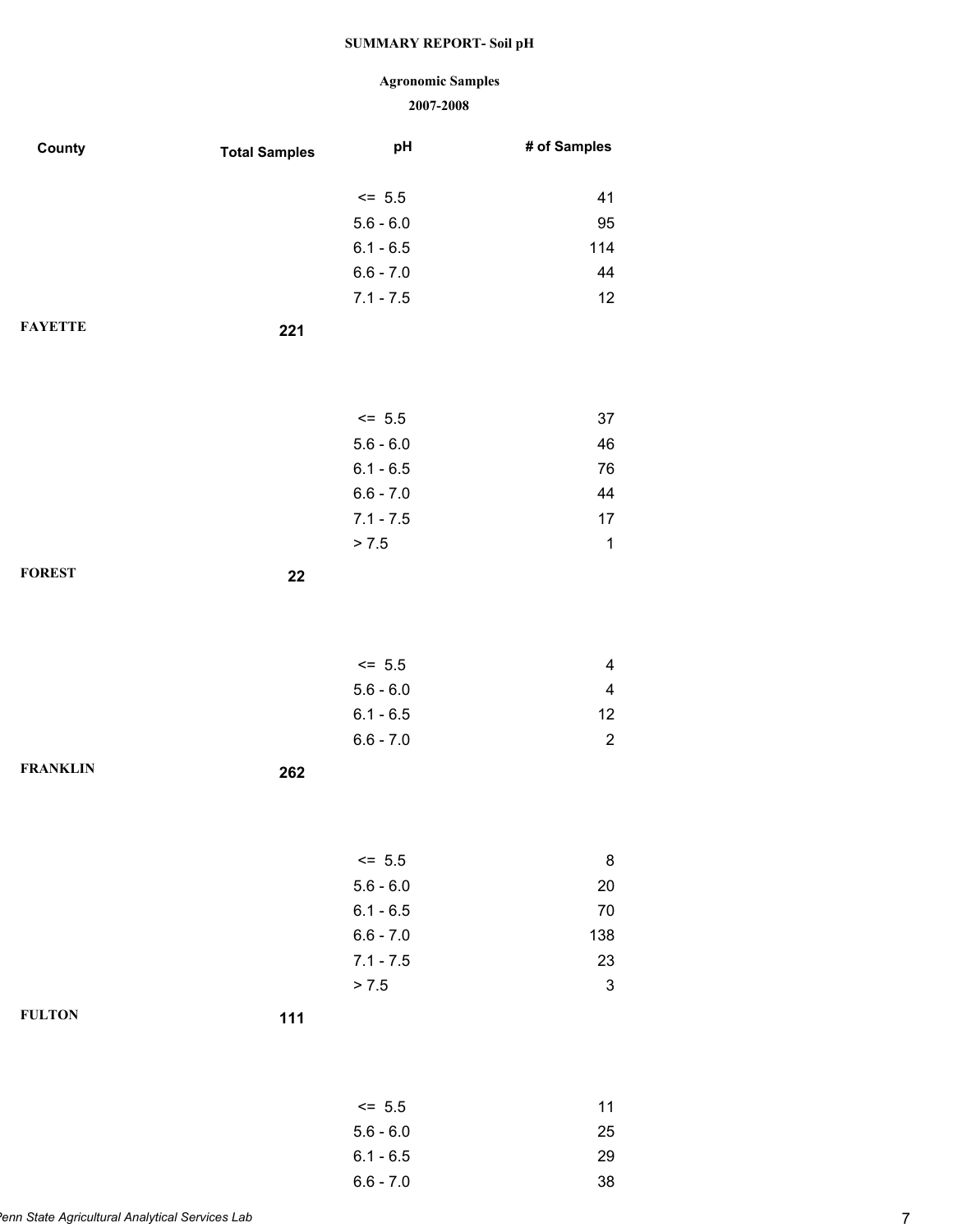# **Agronomic Samples**

| County          | <b>Total Samples</b> | pH          | # of Samples                                       |
|-----------------|----------------------|-------------|----------------------------------------------------|
|                 |                      |             |                                                    |
|                 |                      | $<= 5.5$    | 41                                                 |
|                 |                      | $5.6 - 6.0$ | 95                                                 |
|                 |                      | $6.1 - 6.5$ | 114                                                |
|                 |                      | $6.6 - 7.0$ | 44                                                 |
|                 |                      | $7.1 - 7.5$ | 12                                                 |
| <b>FAYETTE</b>  | 221                  |             |                                                    |
|                 |                      |             |                                                    |
|                 |                      |             |                                                    |
|                 |                      | $<= 5.5$    | 37                                                 |
|                 |                      | $5.6 - 6.0$ | 46                                                 |
|                 |                      | $6.1 - 6.5$ | 76                                                 |
|                 |                      | $6.6 - 7.0$ | 44                                                 |
|                 |                      | $7.1 - 7.5$ | 17                                                 |
|                 |                      | > 7.5       | $\mathbf{1}$                                       |
| <b>FOREST</b>   | 22                   |             |                                                    |
|                 |                      |             |                                                    |
|                 |                      |             |                                                    |
|                 |                      | $<= 5.5$    |                                                    |
|                 |                      | $5.6 - 6.0$ | $\overline{\mathbf{4}}$<br>$\overline{\mathbf{4}}$ |
|                 |                      | $6.1 - 6.5$ | 12                                                 |
|                 |                      | $6.6 - 7.0$ | $\sqrt{2}$                                         |
| <b>FRANKLIN</b> |                      |             |                                                    |
|                 | 262                  |             |                                                    |
|                 |                      |             |                                                    |
|                 |                      |             |                                                    |
|                 |                      | $<= 5.5$    | 8                                                  |
|                 |                      | $5.6 - 6.0$ | 20                                                 |
|                 |                      | $6.1 - 6.5$ | $70\,$                                             |
|                 |                      | $6.6 - 7.0$ | 138                                                |
|                 |                      | $7.1 - 7.5$ | 23                                                 |
|                 |                      | > 7.5       | $\ensuremath{\mathsf{3}}$                          |
| <b>FULTON</b>   | 111                  |             |                                                    |
|                 |                      |             |                                                    |
|                 |                      |             |                                                    |
|                 |                      | $<= 5.5$    | 11                                                 |
|                 |                      | $5.6 - 6.0$ | 25                                                 |
|                 |                      | $6.1 - 6.5$ | 29                                                 |
|                 |                      | $6.6 - 7.0$ | 38                                                 |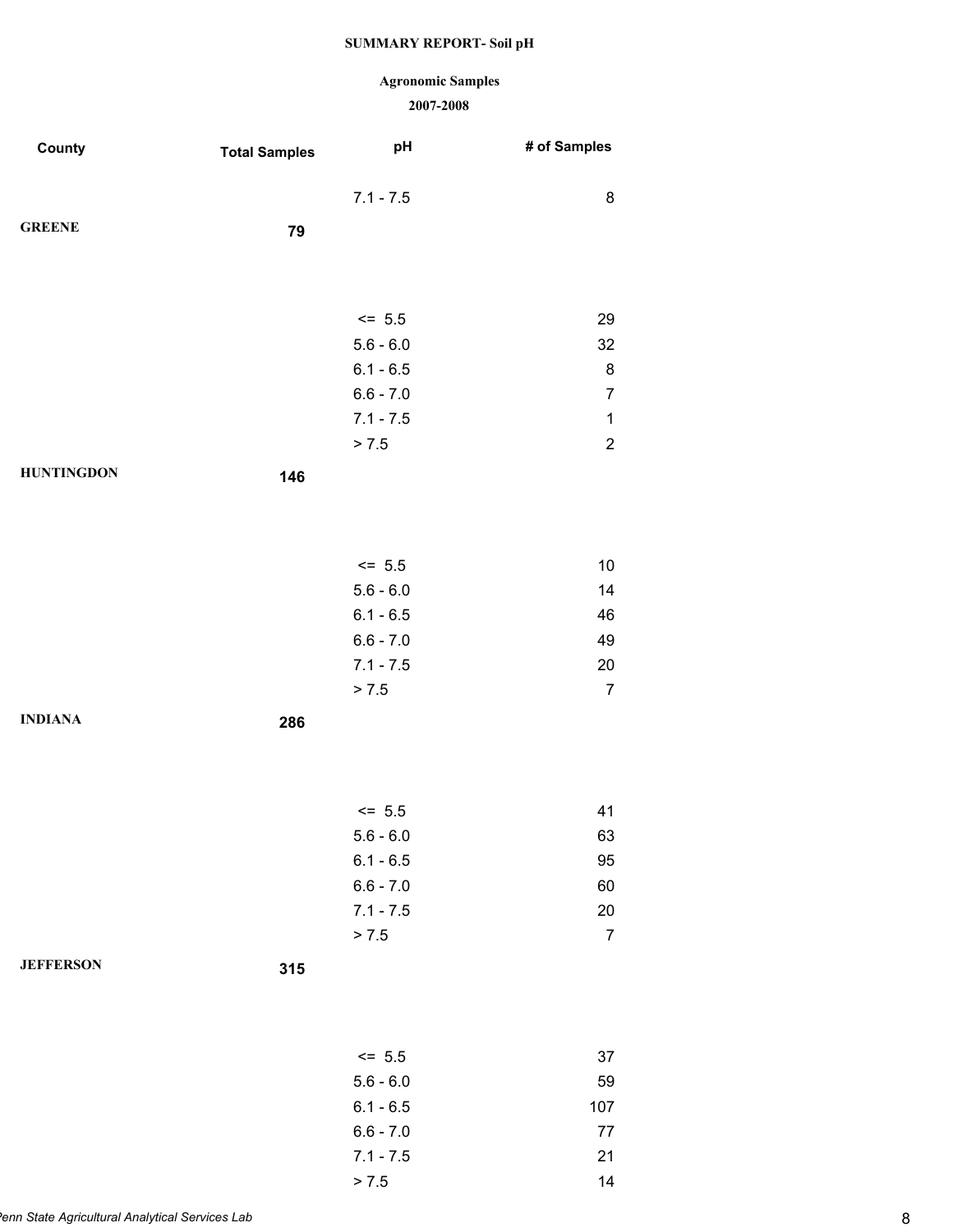### **Agronomic Samples**

| County            | <b>Total Samples</b> | pH                         | # of Samples   |
|-------------------|----------------------|----------------------------|----------------|
|                   |                      | $7.1 - 7.5$                | 8              |
|                   |                      |                            |                |
| <b>GREENE</b>     | 79                   |                            |                |
|                   |                      |                            |                |
|                   |                      |                            |                |
|                   |                      | $<= 5.5$                   | 29             |
|                   |                      | $5.6 - 6.0$                | 32             |
|                   |                      | $6.1 - 6.5$                | 8              |
|                   |                      | $6.6 - 7.0$                | $\overline{7}$ |
|                   |                      | $7.1 - 7.5$                | $\mathbf{1}$   |
|                   |                      | > 7.5                      | $\sqrt{2}$     |
| <b>HUNTINGDON</b> | 146                  |                            |                |
|                   |                      |                            |                |
|                   |                      |                            |                |
|                   |                      |                            |                |
|                   |                      | $<= 5.5$                   | $10$           |
|                   |                      | $5.6 - 6.0$                | 14             |
|                   |                      | $6.1 - 6.5$                | 46             |
|                   |                      | $6.6 - 7.0$<br>$7.1 - 7.5$ | 49<br>20       |
|                   |                      | > 7.5                      | $\overline{7}$ |
|                   |                      |                            |                |
| <b>INDIANA</b>    | 286                  |                            |                |
|                   |                      |                            |                |
|                   |                      |                            |                |
|                   |                      | $<= 5.5$                   | 41             |
|                   |                      | $5.6 - 6.0$                | 63             |
|                   |                      | $6.1 - 6.5$                | 95             |
|                   |                      | $6.6 - 7.0$                | 60             |
|                   |                      | $7.1 - 7.5$                | 20             |
|                   |                      | > 7.5                      | $\overline{7}$ |
| <b>JEFFERSON</b>  | 315                  |                            |                |
|                   |                      |                            |                |
|                   |                      |                            |                |
|                   |                      |                            |                |
|                   |                      | $<= 5.5$                   | 37             |
|                   |                      | $5.6 - 6.0$                | 59             |
|                   |                      | $6.1 - 6.5$                | 107            |
|                   |                      | $6.6 - 7.0$                | $77 \,$        |
|                   |                      | $7.1 - 7.5$                | 21             |
|                   |                      | > 7.5                      | 14             |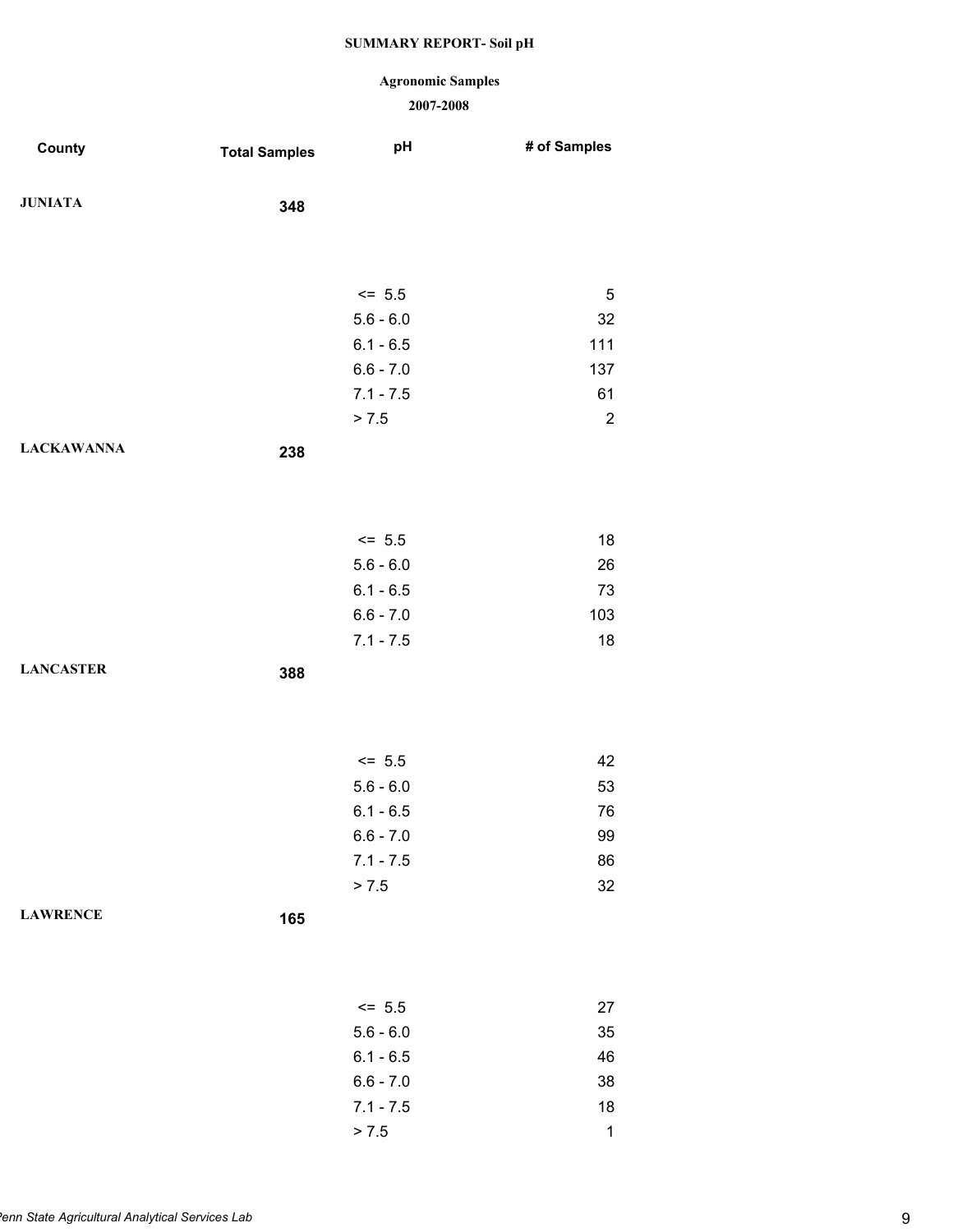### **Agronomic Samples**

| County            | <b>Total Samples</b> | pH          | # of Samples     |
|-------------------|----------------------|-------------|------------------|
| <b>JUNIATA</b>    | 348                  |             |                  |
|                   |                      |             |                  |
|                   |                      | $<= 5.5$    | 5                |
|                   |                      | $5.6 - 6.0$ | 32               |
|                   |                      | $6.1 - 6.5$ | 111              |
|                   |                      | $6.6 - 7.0$ | 137              |
|                   |                      | $7.1 - 7.5$ | 61               |
|                   |                      | > 7.5       | $\boldsymbol{2}$ |
| <b>LACKAWANNA</b> | 238                  |             |                  |
|                   |                      |             |                  |
|                   |                      | $<= 5.5$    | 18               |
|                   |                      | $5.6 - 6.0$ | 26               |
|                   |                      | $6.1 - 6.5$ | 73               |
|                   |                      | $6.6 - 7.0$ | 103              |
|                   |                      | $7.1 - 7.5$ | 18               |
| <b>LANCASTER</b>  | 388                  |             |                  |
|                   |                      |             |                  |
|                   |                      | $<= 5.5$    | 42               |
|                   |                      | $5.6 - 6.0$ | 53               |
|                   |                      | $6.1 - 6.5$ | 76               |
|                   |                      | $6.6 - 7.0$ | 99               |
|                   |                      | $7.1 - 7.5$ | 86               |
|                   |                      | > 7.5       | 32               |
| <b>LAWRENCE</b>   | 165                  |             |                  |
|                   |                      |             |                  |
|                   |                      | $<= 5.5$    | 27               |
|                   |                      | $5.6 - 6.0$ | 35               |
|                   |                      | $6.1 - 6.5$ | 46               |
|                   |                      | $6.6 - 7.0$ | 38               |
|                   |                      | $7.1 - 7.5$ | $18$             |
|                   |                      | > 7.5       | $\mathbf{1}$     |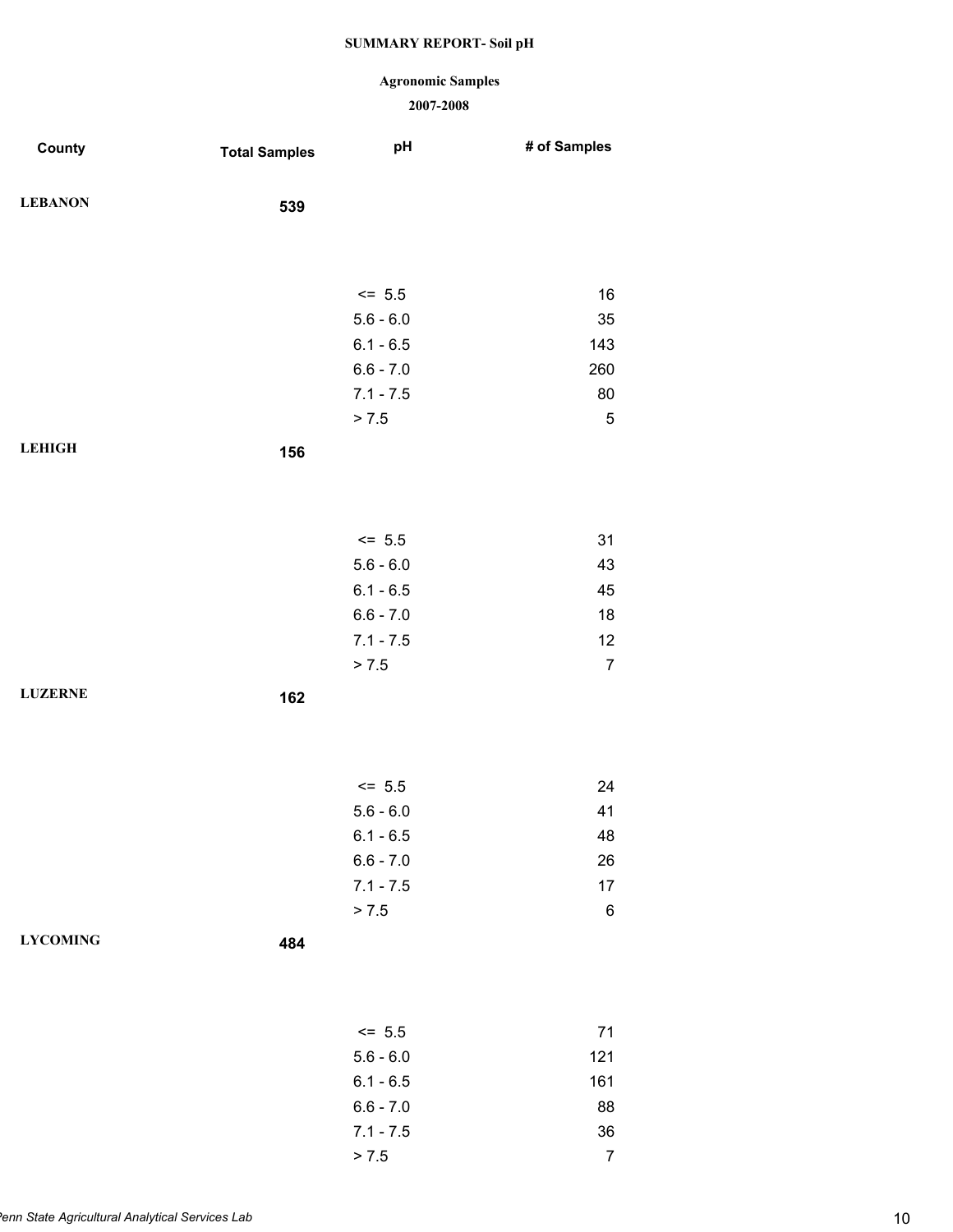### **Agronomic Samples**

| County          | <b>Total Samples</b> | pH          | # of Samples   |
|-----------------|----------------------|-------------|----------------|
| <b>LEBANON</b>  | 539                  |             |                |
|                 |                      |             |                |
|                 |                      | $<= 5.5$    | 16             |
|                 |                      | $5.6 - 6.0$ | 35             |
|                 |                      | $6.1 - 6.5$ | 143            |
|                 |                      | $6.6 - 7.0$ | 260            |
|                 |                      | $7.1 - 7.5$ | 80             |
|                 |                      | > 7.5       | $\sqrt{5}$     |
| <b>LEHIGH</b>   | 156                  |             |                |
|                 |                      |             |                |
|                 |                      | $<= 5.5$    | 31             |
|                 |                      | $5.6 - 6.0$ | 43             |
|                 |                      | $6.1 - 6.5$ | 45             |
|                 |                      | $6.6 - 7.0$ | 18             |
|                 |                      | $7.1 - 7.5$ | 12             |
|                 |                      | > 7.5       | $\overline{7}$ |
| <b>LUZERNE</b>  | 162                  |             |                |
|                 |                      |             |                |
|                 |                      | $<= 5.5$    | 24             |
|                 |                      | $5.6 - 6.0$ | 41             |
|                 |                      | $6.1 - 6.5$ | 48             |
|                 |                      | $6.6 - 7.0$ | 26             |
|                 |                      | $7.1 - 7.5$ | 17             |
|                 |                      | > 7.5       | $\,6$          |
| <b>LYCOMING</b> | 484                  |             |                |
|                 |                      |             |                |
|                 |                      | $<= 5.5$    | 71             |
|                 |                      | $5.6 - 6.0$ | 121            |
|                 |                      | $6.1 - 6.5$ | 161            |
|                 |                      | $6.6 - 7.0$ | 88             |
|                 |                      | $7.1 - 7.5$ | 36             |
|                 |                      | > 7.5       | $\overline{7}$ |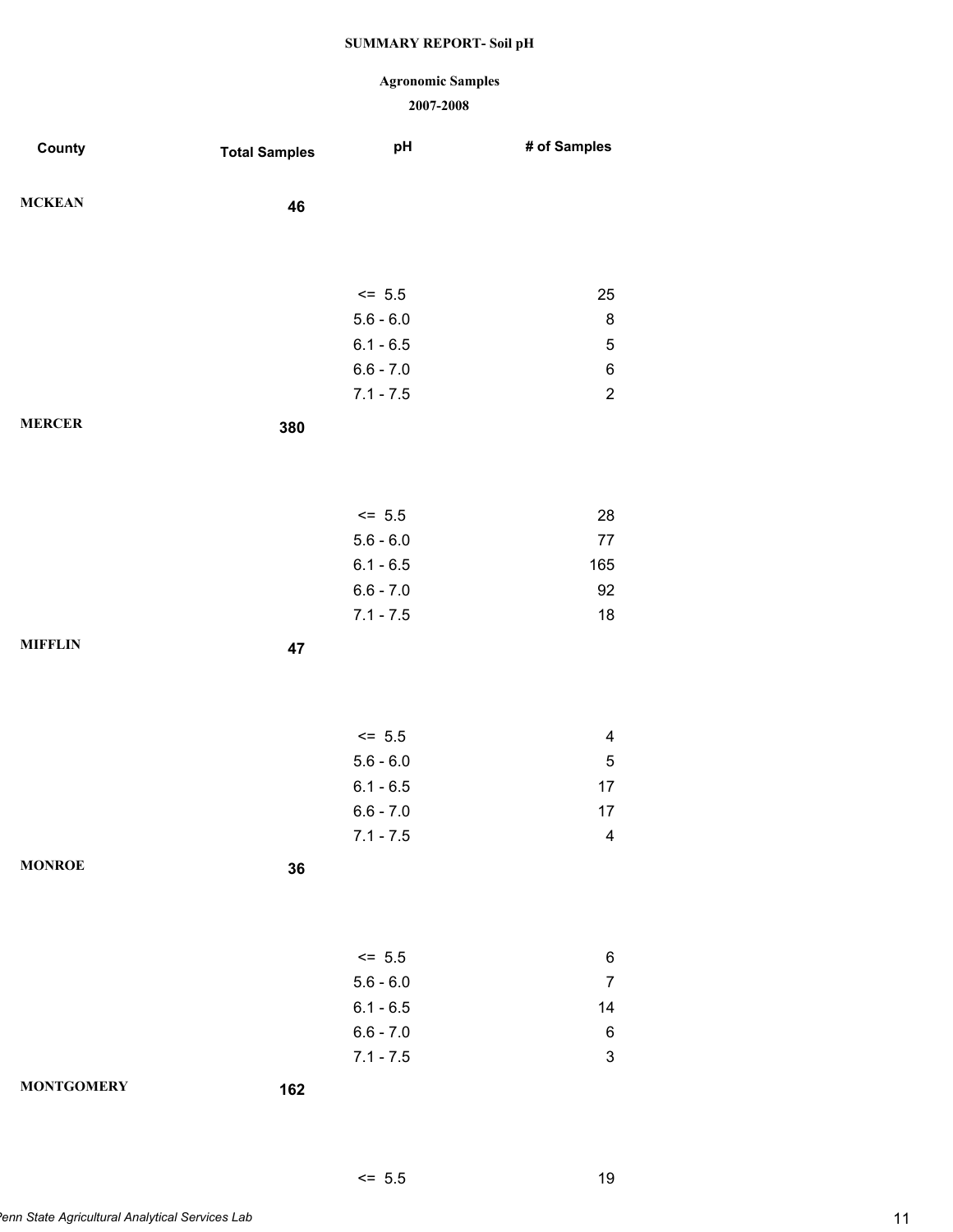### **Agronomic Samples**

#### **2007-2008**

 $\leq$  5.5 19

| County            | <b>Total Samples</b> | pH                         | # of Samples              |
|-------------------|----------------------|----------------------------|---------------------------|
|                   |                      |                            |                           |
| <b>MCKEAN</b>     | 46                   |                            |                           |
|                   |                      |                            |                           |
|                   |                      |                            |                           |
|                   |                      | $<= 5.5$                   | 25                        |
|                   |                      | $5.6 - 6.0$                | 8                         |
|                   |                      | $6.1 - 6.5$                | $\mathbf 5$               |
|                   |                      | $6.6 - 7.0$<br>$7.1 - 7.5$ | $\,6$<br>$\boldsymbol{2}$ |
|                   |                      |                            |                           |
| <b>MERCER</b>     | 380                  |                            |                           |
|                   |                      |                            |                           |
|                   |                      |                            |                           |
|                   |                      | $<= 5.5$                   | 28                        |
|                   |                      | $5.6 - 6.0$                | $77\,$                    |
|                   |                      | $6.1 - 6.5$                | 165                       |
|                   |                      | $6.6 - 7.0$                | 92                        |
|                   |                      | $7.1 - 7.5$                | 18                        |
| <b>MIFFLIN</b>    | 47                   |                            |                           |
|                   |                      |                            |                           |
|                   |                      |                            |                           |
|                   |                      | $<= 5.5$                   | $\overline{\mathbf{4}}$   |
|                   |                      | $5.6 - 6.0$                | $\mathbf 5$               |
|                   |                      | $6.1 - 6.5$                | $17$                      |
|                   |                      | $6.6 - 7.0$                | 17                        |
|                   |                      | $7.1 - 7.5$                | $\overline{\mathbf{4}}$   |
| <b>MONROE</b>     | 36                   |                            |                           |
|                   |                      |                            |                           |
|                   |                      |                            |                           |
|                   |                      | $\le$ 5.5                  | 6                         |
|                   |                      | $5.6 - 6.0$                | $\overline{7}$            |
|                   |                      | $6.1 - 6.5$                | 14                        |
|                   |                      | $6.6 - 7.0$                | 6                         |
|                   |                      | $7.1 - 7.5$                | $\ensuremath{\mathsf{3}}$ |
| <b>MONTGOMERY</b> | 162                  |                            |                           |
|                   |                      |                            |                           |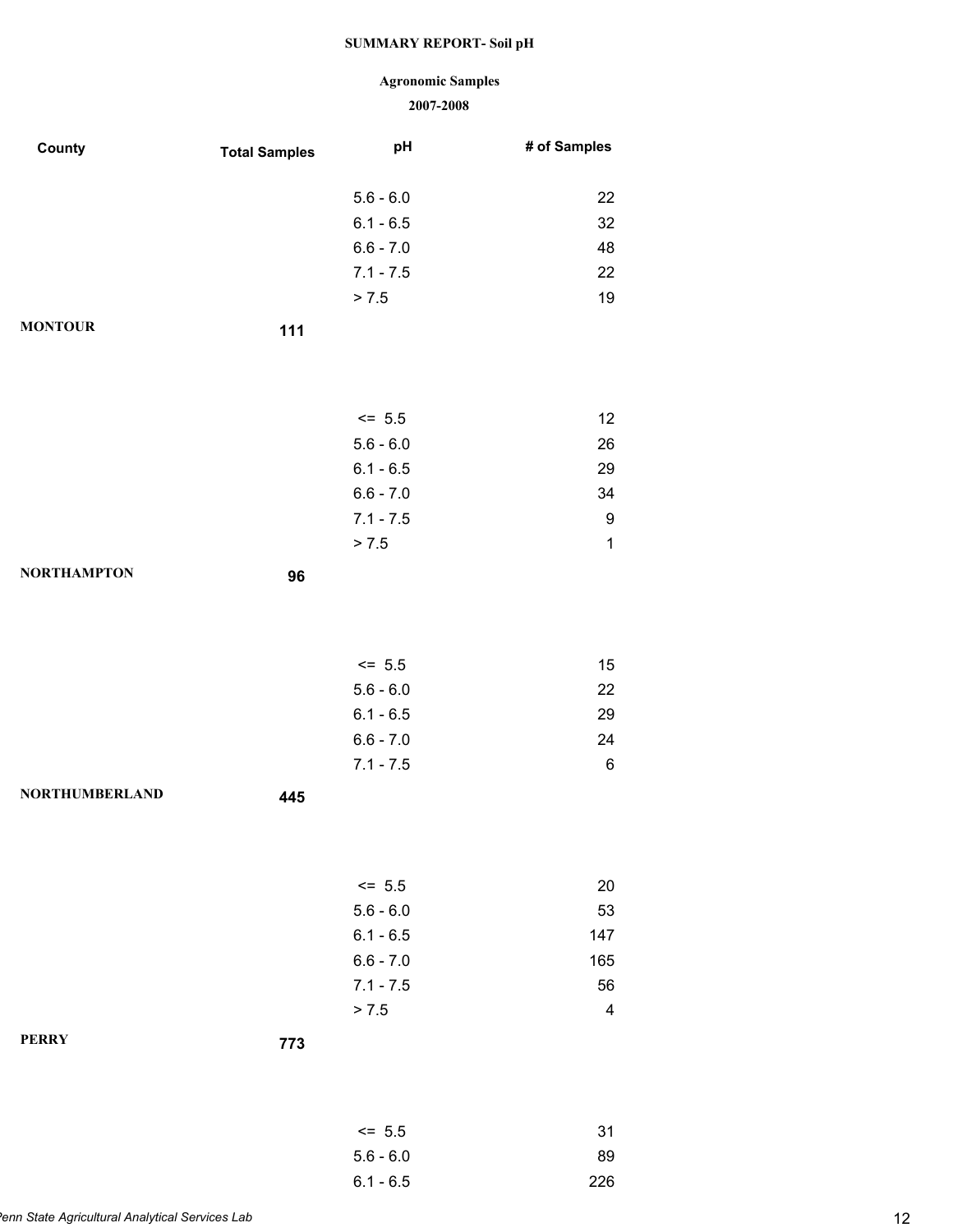# **Agronomic Samples**

| County                | <b>Total Samples</b> | pH                      | # of Samples            |
|-----------------------|----------------------|-------------------------|-------------------------|
|                       |                      |                         |                         |
|                       |                      | $5.6 - 6.0$             | 22                      |
|                       |                      | $6.1 - 6.5$             | 32                      |
|                       |                      | $6.6 - 7.0$             | 48                      |
|                       |                      | $7.1 - 7.5$             | 22                      |
|                       |                      | > 7.5                   | 19                      |
| <b>MONTOUR</b>        | 111                  |                         |                         |
|                       |                      |                         |                         |
|                       |                      |                         |                         |
|                       |                      | $<= 5.5$                | 12                      |
|                       |                      | $5.6 - 6.0$             | 26                      |
|                       |                      | $6.1 - 6.5$             | 29                      |
|                       |                      | $6.6 - 7.0$             | 34                      |
|                       |                      | $7.1 - 7.5$             | $\boldsymbol{9}$        |
|                       |                      | > 7.5                   | $\mathbf{1}$            |
| <b>NORTHAMPTON</b>    | 96                   |                         |                         |
|                       |                      |                         |                         |
|                       |                      |                         |                         |
|                       |                      |                         |                         |
|                       |                      | $<= 5.5$<br>$5.6 - 6.0$ | 15<br>22                |
|                       |                      | $6.1 - 6.5$             | 29                      |
|                       |                      | $6.6 - 7.0$             | 24                      |
|                       |                      | $7.1 - 7.5$             | $\,6$                   |
| <b>NORTHUMBERLAND</b> |                      |                         |                         |
|                       | 445                  |                         |                         |
|                       |                      |                         |                         |
|                       |                      |                         |                         |
|                       |                      | $<= 5.5$                | 20                      |
|                       |                      | $5.6 - 6.0$             | 53                      |
|                       |                      | $6.1 - 6.5$             | 147                     |
|                       |                      | $6.6 - 7.0$             | 165                     |
|                       |                      | $7.1 - 7.5$             | 56                      |
|                       |                      | > 7.5                   | $\overline{\mathbf{4}}$ |
| <b>PERRY</b>          | 773                  |                         |                         |
|                       |                      |                         |                         |
|                       |                      |                         |                         |
|                       |                      | $<= 5.5$                | 31                      |
|                       |                      | $5.6 - 6.0$             | 89                      |
|                       |                      | $6.1 - 6.5$             | 226                     |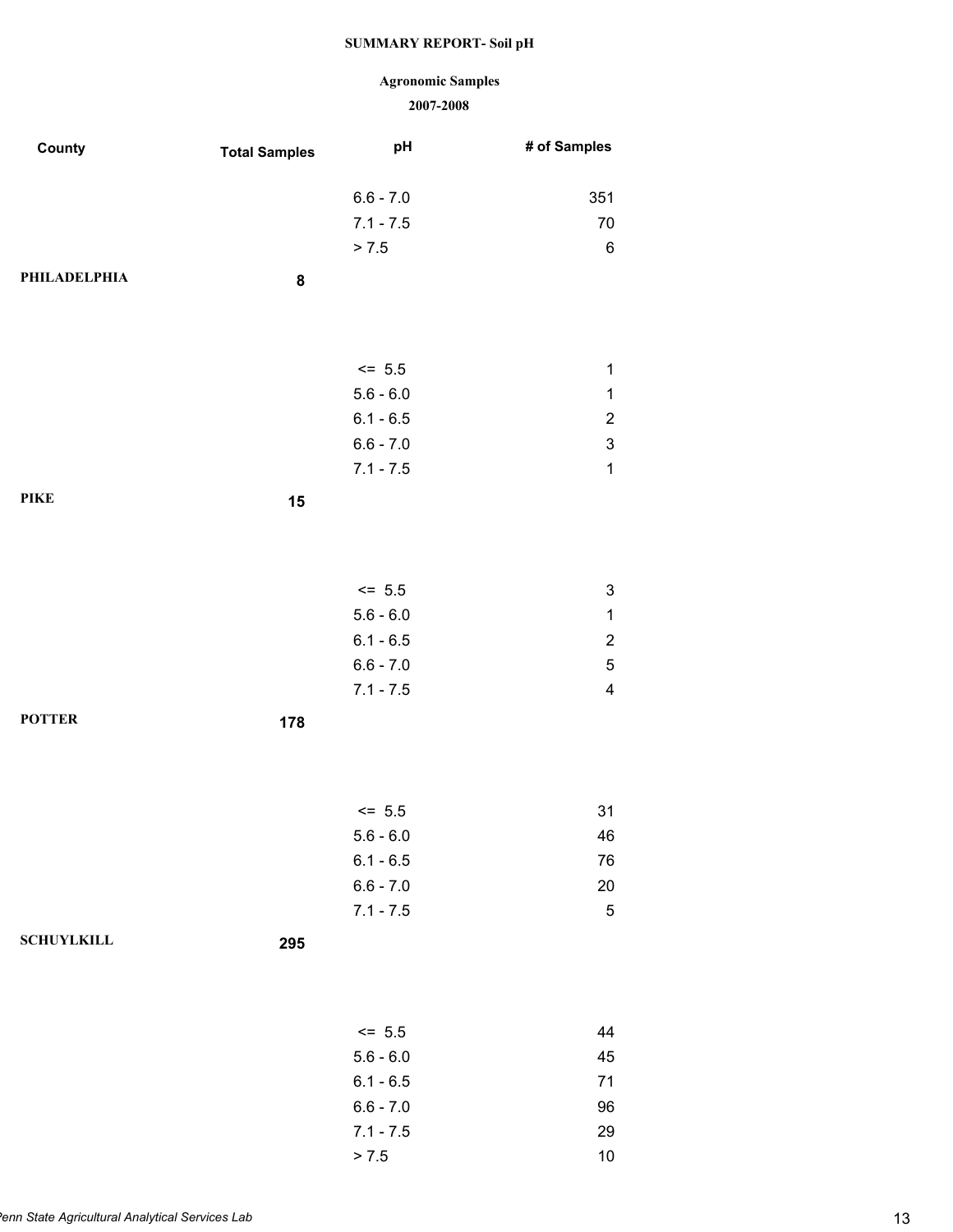### **Agronomic Samples**

| County            | <b>Total Samples</b> | pH          | # of Samples              |
|-------------------|----------------------|-------------|---------------------------|
|                   |                      | $6.6 - 7.0$ | 351                       |
|                   |                      | $7.1 - 7.5$ | $70\,$                    |
|                   |                      | > 7.5       | $\,6$                     |
| PHILADELPHIA      | ${\bf 8}$            |             |                           |
|                   |                      |             |                           |
|                   |                      | $<= 5.5$    | $\mathbf 1$               |
|                   |                      | $5.6 - 6.0$ | $\mathbf 1$               |
|                   |                      | $6.1 - 6.5$ | $\overline{c}$            |
|                   |                      | $6.6 - 7.0$ | $\ensuremath{\mathsf{3}}$ |
|                   |                      | $7.1 - 7.5$ | $\mathbf 1$               |
| <b>PIKE</b>       | 15                   |             |                           |
|                   |                      |             |                           |
|                   |                      |             |                           |
|                   |                      | $<= 5.5$    | 3                         |
|                   |                      | $5.6 - 6.0$ | $\mathbf 1$               |
|                   |                      | $6.1 - 6.5$ | $\sqrt{2}$                |
|                   |                      | $6.6 - 7.0$ | $\mathbf 5$               |
|                   |                      | $7.1 - 7.5$ | $\overline{\mathbf{4}}$   |
| <b>POTTER</b>     | 178                  |             |                           |
|                   |                      |             |                           |
|                   |                      | $<= 5.5$    | 31                        |
|                   |                      | $5.6 - 6.0$ | 46                        |
|                   |                      | $6.1 - 6.5$ | 76                        |
|                   |                      | $6.6 - 7.0$ | $20\,$                    |
|                   |                      | $7.1 - 7.5$ | $\sqrt{5}$                |
| <b>SCHUYLKILL</b> | 295                  |             |                           |
|                   |                      |             |                           |
|                   |                      | $<= 5.5$    | 44                        |
|                   |                      | $5.6 - 6.0$ | 45                        |
|                   |                      | $6.1 - 6.5$ | $71$                      |
|                   |                      | $6.6 - 7.0$ | 96                        |
|                   |                      | $7.1 - 7.5$ | 29                        |
|                   |                      | > 7.5       | $10\,$                    |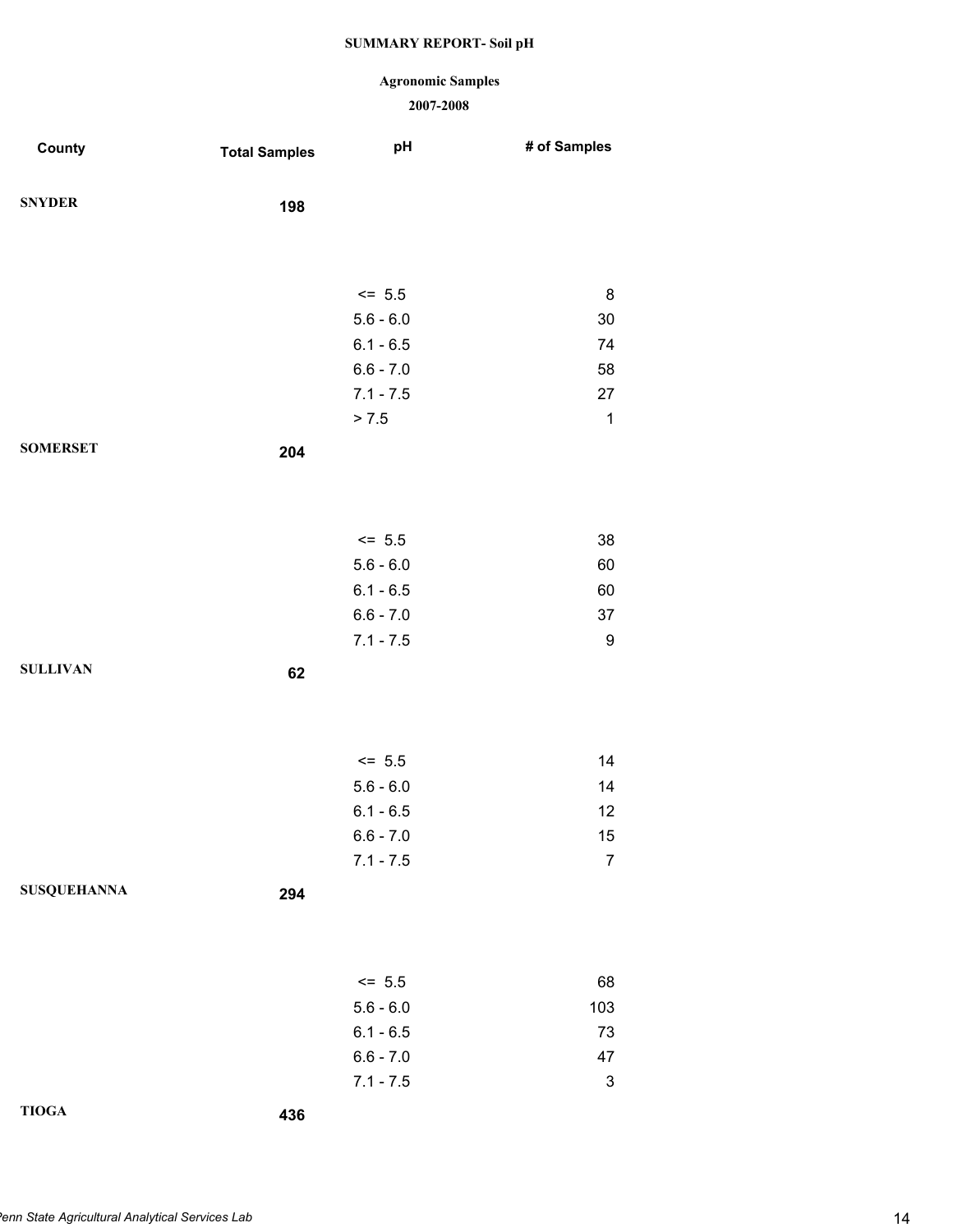### **Agronomic Samples**

| County             | <b>Total Samples</b> | pH          | # of Samples              |
|--------------------|----------------------|-------------|---------------------------|
| <b>SNYDER</b>      | 198                  |             |                           |
|                    |                      |             |                           |
|                    |                      | $<= 5.5$    | 8                         |
|                    |                      | $5.6 - 6.0$ | $30\,$                    |
|                    |                      | $6.1 - 6.5$ | 74                        |
|                    |                      | $6.6 - 7.0$ | 58                        |
|                    |                      | $7.1 - 7.5$ | 27                        |
|                    |                      | > 7.5       | $\mathbf{1}$              |
| <b>SOMERSET</b>    | 204                  |             |                           |
|                    |                      |             |                           |
|                    |                      |             |                           |
|                    |                      | $<= 5.5$    | 38                        |
|                    |                      | $5.6 - 6.0$ | 60                        |
|                    |                      | $6.1 - 6.5$ | 60                        |
|                    |                      | $6.6 - 7.0$ | 37                        |
|                    |                      | $7.1 - 7.5$ | 9                         |
| <b>SULLIVAN</b>    | 62                   |             |                           |
|                    |                      |             |                           |
|                    |                      |             |                           |
|                    |                      | $<= 5.5$    | 14                        |
|                    |                      | $5.6 - 6.0$ | 14                        |
|                    |                      | $6.1 - 6.5$ | 12                        |
|                    |                      | $6.6 - 7.0$ | 15                        |
|                    |                      | $7.1 - 7.5$ | $\overline{7}$            |
| <b>SUSQUEHANNA</b> | 294                  |             |                           |
|                    |                      |             |                           |
|                    |                      |             |                           |
|                    |                      | $<= 5.5$    | 68                        |
|                    |                      | $5.6 - 6.0$ | 103                       |
|                    |                      | $6.1 - 6.5$ | 73                        |
|                    |                      | $6.6 - 7.0$ | 47                        |
|                    |                      | $7.1 - 7.5$ | $\ensuremath{\mathsf{3}}$ |
| <b>TIOGA</b>       | 436                  |             |                           |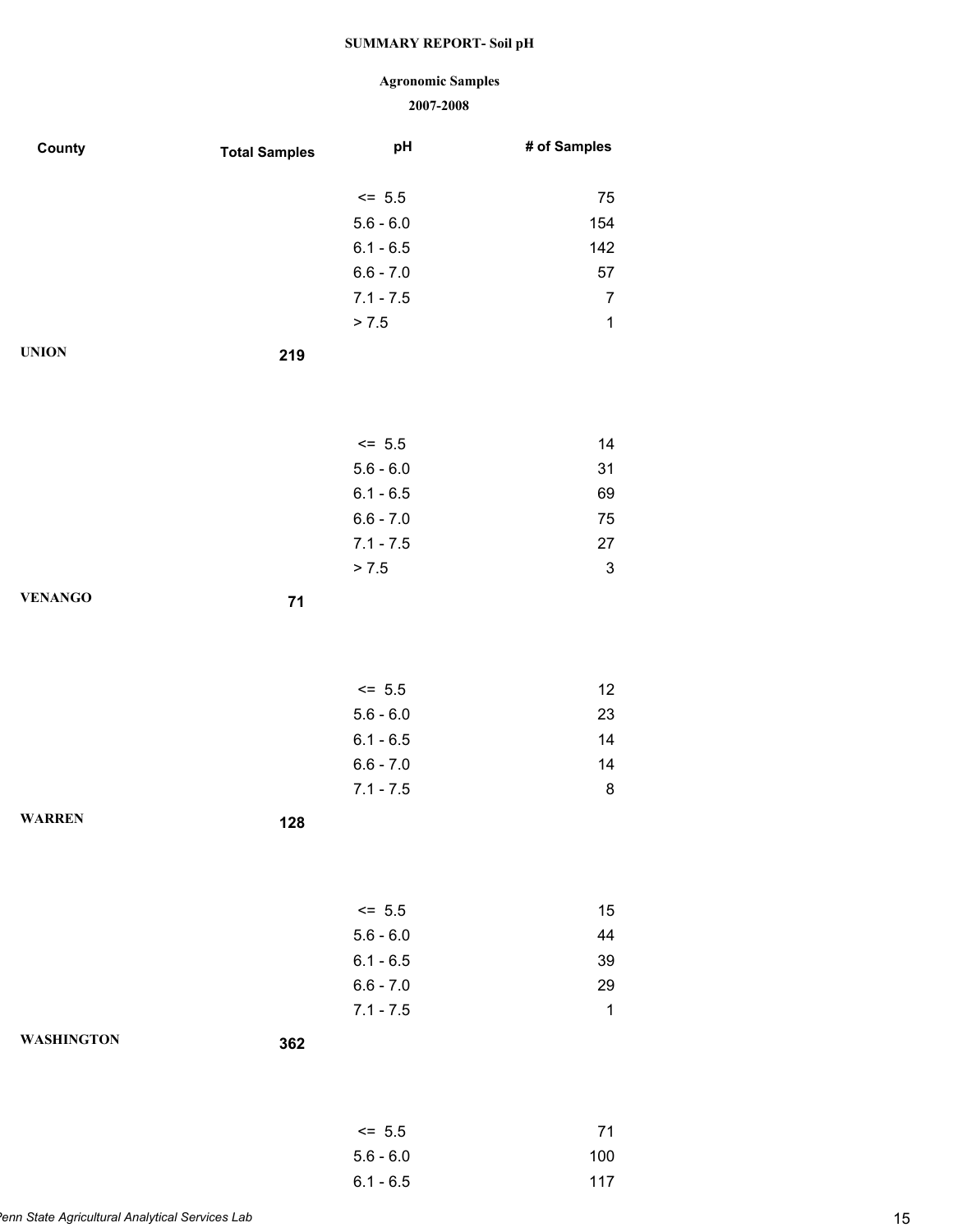# **Agronomic Samples**

| County            | <b>Total Samples</b> | pH          | # of Samples              |
|-------------------|----------------------|-------------|---------------------------|
|                   |                      | $<= 5.5$    | 75                        |
|                   |                      | $5.6 - 6.0$ | 154                       |
|                   |                      | $6.1 - 6.5$ | 142                       |
|                   |                      | $6.6 - 7.0$ | 57                        |
|                   |                      | $7.1 - 7.5$ | $\overline{7}$            |
|                   |                      | > 7.5       | $\mathbf 1$               |
| <b>UNION</b>      | 219                  |             |                           |
|                   |                      |             |                           |
|                   |                      |             |                           |
|                   |                      | $<= 5.5$    | 14                        |
|                   |                      | $5.6 - 6.0$ | 31                        |
|                   |                      | $6.1 - 6.5$ | 69                        |
|                   |                      | $6.6 - 7.0$ | 75                        |
|                   |                      | $7.1 - 7.5$ | 27                        |
|                   |                      | > 7.5       | $\ensuremath{\mathsf{3}}$ |
| <b>VENANGO</b>    | 71                   |             |                           |
|                   |                      |             |                           |
|                   |                      |             |                           |
|                   |                      | $<= 5.5$    | 12                        |
|                   |                      | $5.6 - 6.0$ | 23                        |
|                   |                      | $6.1 - 6.5$ | 14                        |
|                   |                      | $6.6 - 7.0$ | 14                        |
|                   |                      | $7.1 - 7.5$ | 8                         |
| <b>WARREN</b>     | 128                  |             |                           |
|                   |                      |             |                           |
|                   |                      |             |                           |
|                   |                      | $<= 5.5$    | 15                        |
|                   |                      | $5.6 - 6.0$ | 44                        |
|                   |                      | $6.1 - 6.5$ | 39                        |
|                   |                      | $6.6 - 7.0$ | 29                        |
|                   |                      | $7.1 - 7.5$ | $\mathbf 1$               |
| <b>WASHINGTON</b> | 362                  |             |                           |
|                   |                      |             |                           |
|                   |                      |             |                           |
|                   |                      | $<= 5.5$    | 71                        |
|                   |                      | $5.6 - 6.0$ | 100                       |
|                   |                      | $6.1 - 6.5$ | 117                       |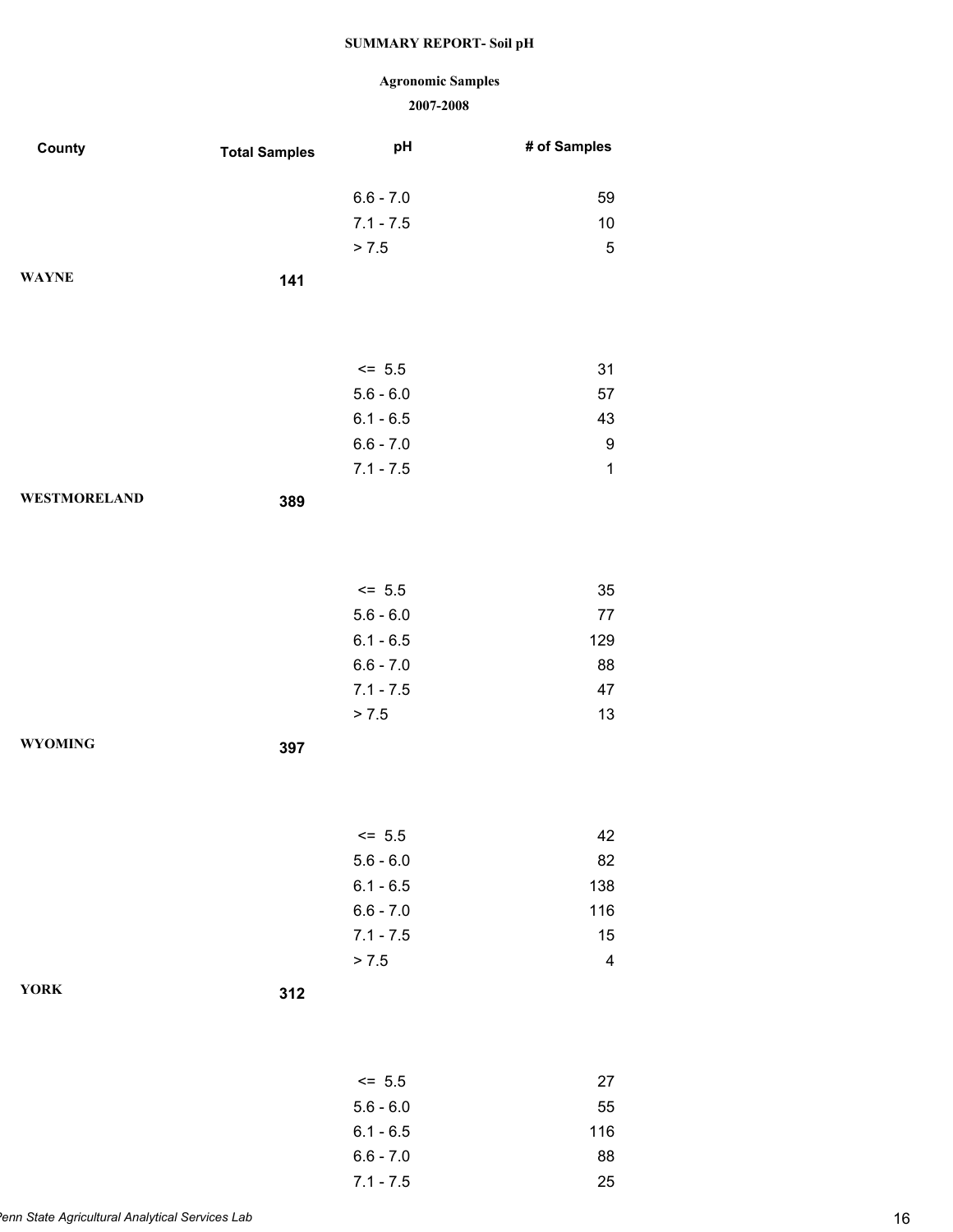# **Agronomic Samples**

| County              | <b>Total Samples</b> | pH          | # of Samples            |
|---------------------|----------------------|-------------|-------------------------|
|                     |                      |             |                         |
|                     |                      | $6.6 - 7.0$ | 59                      |
|                     |                      | $7.1 - 7.5$ | 10                      |
|                     |                      | > 7.5       | 5                       |
| <b>WAYNE</b>        | 141                  |             |                         |
|                     |                      |             |                         |
|                     |                      |             |                         |
|                     |                      | $<= 5.5$    | 31                      |
|                     |                      | $5.6 - 6.0$ | 57                      |
|                     |                      | $6.1 - 6.5$ | 43                      |
|                     |                      | $6.6 - 7.0$ | 9                       |
|                     |                      | $7.1 - 7.5$ | $\mathbf 1$             |
| <b>WESTMORELAND</b> | 389                  |             |                         |
|                     |                      |             |                         |
|                     |                      |             |                         |
|                     |                      |             |                         |
|                     |                      | $<= 5.5$    | 35                      |
|                     |                      | $5.6 - 6.0$ | 77                      |
|                     |                      | $6.1 - 6.5$ | 129                     |
|                     |                      | $6.6 - 7.0$ | 88                      |
|                     |                      | $7.1 - 7.5$ | 47                      |
|                     |                      | > 7.5       | 13                      |
| <b>WYOMING</b>      | 397                  |             |                         |
|                     |                      |             |                         |
|                     |                      |             |                         |
|                     |                      | $\le$ 5.5   | 42                      |
|                     |                      | $5.6 - 6.0$ | 82                      |
|                     |                      | $6.1 - 6.5$ | 138                     |
|                     |                      | $6.6 - 7.0$ | 116                     |
|                     |                      | $7.1 - 7.5$ | 15                      |
|                     |                      | > 7.5       | $\overline{\mathbf{4}}$ |
| <b>YORK</b>         |                      |             |                         |
|                     | 312                  |             |                         |
|                     |                      |             |                         |
|                     |                      |             |                         |
|                     |                      | $<= 5.5$    | 27                      |
|                     |                      | $5.6 - 6.0$ | 55                      |
|                     |                      | $6.1 - 6.5$ | 116                     |
|                     |                      | $6.6 - 7.0$ | 88                      |
|                     |                      | $7.1 - 7.5$ | 25                      |